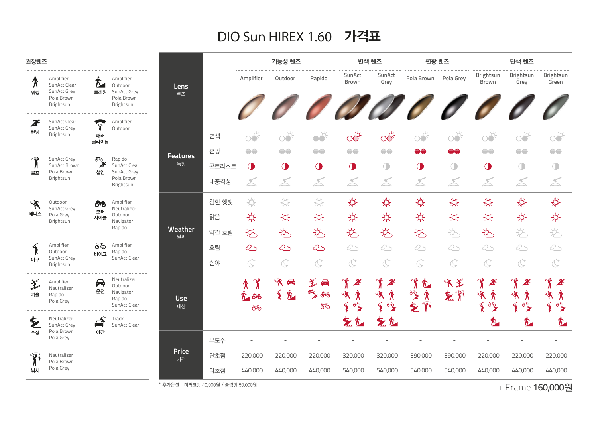## DIO Sun HIREX 1.60 가격표

| 권장렌즈                                 |                                                        |                               |                                                                  |                       |       | 기능성 렌즈          |                           |                                                       | 변색 렌즈                                                               |                                                                                                        | 편광 렌즈                                      |                | 단색 렌즈                                                                                                   |                                                                                                                    |                                                                                                         |
|--------------------------------------|--------------------------------------------------------|-------------------------------|------------------------------------------------------------------|-----------------------|-------|-----------------|---------------------------|-------------------------------------------------------|---------------------------------------------------------------------|--------------------------------------------------------------------------------------------------------|--------------------------------------------|----------------|---------------------------------------------------------------------------------------------------------|--------------------------------------------------------------------------------------------------------------------|---------------------------------------------------------------------------------------------------------|
| ∕ि                                   | Amplifier<br>SunAct Clear                              | D.                            | Amplifier<br>Outdoor                                             | Lens                  |       | Amplifier       | Outdoor                   | Rapido                                                | SunAct<br>Brown                                                     | SunAct<br>Grey                                                                                         | Pola Brown Pola Grey                       |                | Brightsun<br>Brown                                                                                      | Brightsun<br>Grey                                                                                                  | Brightsun<br>Green                                                                                      |
| 워킹                                   | SunAct Grey<br>Pola Brown<br>Brightsun                 | 트레킹                           | SunAct Grey<br>Pola Brown<br>Brightsun                           | 렌즈                    |       |                 |                           |                                                       |                                                                     |                                                                                                        | 000000000                                  |                |                                                                                                         |                                                                                                                    |                                                                                                         |
| $\boldsymbol{z}$<br>런닝               | SunAct Clear<br>SunAct Grey<br>Brightsun               | 패러                            | Amplifier<br>Outdoor                                             |                       |       |                 |                           |                                                       |                                                                     |                                                                                                        |                                            |                |                                                                                                         |                                                                                                                    |                                                                                                         |
|                                      |                                                        | 글라이딩                          |                                                                  |                       | 변색    | $\circ$         | $\overrightarrow{O}$      | $\bullet \bullet$                                     | $\overrightarrow{OC}$                                               | $\overrightarrow{OC}$                                                                                  | $\overrightarrow{O}$                       | $\circ$        | oð                                                                                                      | $\circledcirc^k$                                                                                                   | oð                                                                                                      |
| دی<br>골프                             | SunAct Grey<br>SunAct Brown<br>Pola Brown<br>Brightsun | ச்து<br>இ<br>철인               | Rapido<br>SunAct Clear<br>SunAct Grey<br>Pola Brown<br>Brightsun | <b>Features</b><br>특징 | 편광    | e               | $\ominus \ominus$         | e                                                     | $\ominus \ominus$                                                   | e                                                                                                      | e                                          | e              | $\ominus \ominus$                                                                                       | e                                                                                                                  | e                                                                                                       |
|                                      |                                                        |                               |                                                                  |                       | 콘트라스트 | $\bigcirc$      | $\bigcirc$                | $\bigcirc$                                            | $\bigcirc$                                                          | $\bigcirc$                                                                                             | $\bigcirc$                                 | $\bigcirc$     | $\bigcirc$                                                                                              | $\bigcirc$                                                                                                         | $\bigcirc$                                                                                              |
|                                      |                                                        |                               |                                                                  |                       | 내충격성  | $\preceq$       | $\preceq$                 | $\preceq$                                             | $\preceq$                                                           | $\preceq$                                                                                              | $\preceq$                                  | $\preceq$      | X                                                                                                       | $\preceq$                                                                                                          | $\preceq$                                                                                               |
| $\mathcal{\tilde{R}}^{\circ}$<br>테니스 | Outdoor<br>SunAct Grey<br>Pola Grey<br>Brightsun       | రాం<br>모터<br>사이클              | Amplifier<br>Neutralizer<br>Outdoor<br>Navigator<br>Rapido       |                       | 강한 햇빛 | 漛               | 淡                         | 漛                                                     | 燚                                                                   | 燚                                                                                                      | 淡                                          | 燚              | 燚                                                                                                       | 燚                                                                                                                  | 燚                                                                                                       |
|                                      |                                                        |                               |                                                                  |                       | 맑음    | 兴               | 兴                         | ☆                                                     | 兴                                                                   | $\frac{1}{2}$                                                                                          | ☆                                          | 兴              | 兴                                                                                                       | ☆                                                                                                                  | 兴                                                                                                       |
|                                      |                                                        |                               |                                                                  | Weather<br>날씨         | 약간 흐림 | 交               | 讫                         | 岁                                                     | 飞                                                                   | 讫                                                                                                      | 岁                                          | $\frac{1}{2}$  | 讫                                                                                                       | 讫                                                                                                                  | 讫                                                                                                       |
| ⋖                                    | Amplifier<br>Outdoor                                   | சக                            | Amplifier<br>Rapido                                              |                       | 흐림    | $\infty$        | $\infty$                  | $\infty$                                              | ⊘                                                                   | $\infty$                                                                                               | ⊘                                          | ⊘              | ⊘                                                                                                       | ⊘                                                                                                                  | ∞                                                                                                       |
| 야구                                   | SunAct Grey<br>Brightsun                               | 바이크                           | SunAct Clear                                                     |                       | 심야    | $\mathcal{C}^+$ | $\mathbb{C}^*$            | $\mathop{\textstyle \bigodot}^{\!\!+1\!}$             | $\mathbb{C}^*$                                                      | $\mathop{\bigodot}^{\!\!+}$                                                                            | $\mathbb{C}^*$                             | $\mathbb{C}^*$ | $\mathop{\bigodot}^{\!+}$                                                                               | $\mathbb{C}^*$                                                                                                     | $\mathbb{C}^*$                                                                                          |
| $\check{\mathcal{Z}}$<br>겨울          | Amplifier<br>Neutralizer<br>Rapido<br>Pola Grey        | 邑<br>운전                       | Neutralizer<br>Outdoor<br>Navigator<br>Rapido<br>SunAct Clear    | <b>Use</b><br>대상      |       | у<br>శాం<br>சு  | 角 水<br>$\mathbf{\S}$<br>九 | $\hat{\mathbf{X}}$<br>$\bigoplus$<br>FOR<br>ఠాం<br>රෑ | $\boldsymbol{z}$<br>$\mathcal{R}^{\circ}$<br>∕ि<br><i><b>TO</b></i> | $\mathcal{J}$<br>$\mathcal{Z}^2$<br>$\mathcal{R}^{\circ}$<br>∕ि<br>$\widetilde{\mathbf{S}}$<br>க்<br>2 | $\mathbf{r}$<br>个<br><b>TON</b><br>у<br>乞严 | 文字<br>玄邪       | $\mathbf{r}$<br>$\boldsymbol{z}$<br>$\mathcal{R}^{\rho}$<br>$\bm{\hat{\pi}}$<br>க்<br>உ<br>$\mathbf{S}$ | $\boldsymbol{z}$<br>$\mathbf{A}^{\circ}$<br>у<br>$\widetilde{\mathbf{S}}$<br>$\overline{\mathscr{E}}_{\mathbf{X}}$ | $\mathbf{\mathbf{f}}$<br>$\boldsymbol{z}$<br>$\mathbf{A}^{\circ}$<br>↟<br>$\big\{$<br>க் <mark>?</mark> |
| 文<br>수상                              | Neutralizer<br>SunAct Grey<br>Pola Brown<br>Pola Grey  | $\overline{\mathbf{r}}$<br>야간 | Track<br>SunAct Clear                                            |                       |       |                 |                           |                                                       | 空气                                                                  | 空气                                                                                                     |                                            |                | 允                                                                                                       | 宂                                                                                                                  | $\boldsymbol{\hbar}$                                                                                    |
|                                      |                                                        |                               |                                                                  |                       | 무도수   |                 |                           |                                                       |                                                                     |                                                                                                        |                                            |                |                                                                                                         |                                                                                                                    |                                                                                                         |
| $\mathbf{P}$<br>낚시                   | Neutralizer<br>Pola Brown<br>Pola Grey                 |                               |                                                                  | <b>Price</b><br>가격    | 단초점   | 220,000         | 220,000                   | 220,000                                               | 320,000                                                             | 320,000                                                                                                | 390,000                                    | 390,000        | 220,000                                                                                                 | 220,000                                                                                                            | 220,000                                                                                                 |
|                                      |                                                        |                               |                                                                  |                       | 다초점   | 440,000         | 440,000                   | 440,000                                               | 540,000                                                             | 540,000                                                                                                | 540,000                                    | 540,000        | 440,000                                                                                                 | 440,000                                                                                                            | 440,000                                                                                                 |

\* 추가옵션 : 미러코팅 40,000원 / 슬림핏 50,000원

+ Frame 160,000원